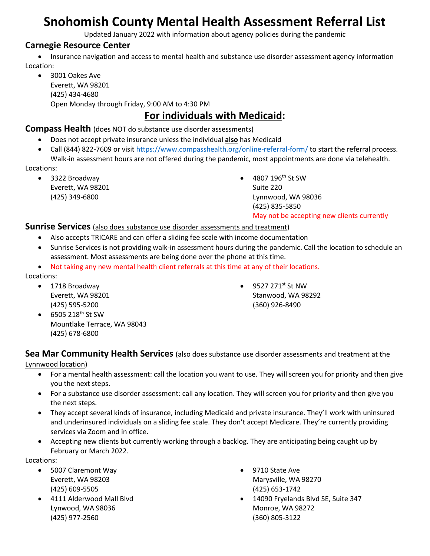# **Snohomish County Mental Health Assessment Referral List**

Updated January 2022 with information about agency policies during the pandemic

#### **Carnegie Resource Center**

• Insurance navigation and access to mental health and substance use disorder assessment agency information Location:

• 3001 Oakes Ave Everett, WA 98201 (425) 434-4680 Open Monday through Friday, 9:00 AM to 4:30 PM

# **For individuals with Medicaid:**

#### **Compass Health** (does NOT do substance use disorder assessments)

- Does not accept private insurance unless the individual **also** has Medicaid
- Call (844) 822-7609 or visit<https://www.compasshealth.org/online-referral-form/> to start the referral process. Walk-in assessment hours are not offered during the pandemic, most appointments are done via telehealth.

Locations:

• 3322 Broadway Everett, WA 98201 (425) 349-6800

 $\bullet$  4807 196<sup>th</sup> St SW Suite 220 Lynnwood, WA 98036 (425) 835-5850 May not be accepting new clients currently

#### **Sunrise Services** (also does substance use disorder assessments and treatment)

- Also accepts TRICARE and can offer a sliding fee scale with income documentation
- Sunrise Services is not providing walk-in assessment hours during the pandemic. Call the location to schedule an assessment. Most assessments are being done over the phone at this time.
- Not taking any new mental health client referrals at this time at any of their locations.

Locations:

• 1718 Broadway Everett, WA 98201 (425) 595-5200

• 9527 271st St NW Stanwood, WA 98292 (360) 926-8490

 $\bullet$  6505 218<sup>th</sup> St SW Mountlake Terrace, WA 98043 (425) 678-6800

### **Sea Mar Community Health Services** (also does substance use disorder assessments and treatment at the

Lynnwood location)

- For a mental health assessment: call the location you want to use. They will screen you for priority and then give you the next steps.
- For a substance use disorder assessment: call any location. They will screen you for priority and then give you the next steps.
- They accept several kinds of insurance, including Medicaid and private insurance. They'll work with uninsured and underinsured individuals on a sliding fee scale. They don't accept Medicare. They're currently providing services via Zoom and in office.
- Accepting new clients but currently working through a backlog. They are anticipating being caught up by February or March 2022.

Locations:

- 5007 Claremont Way Everett, WA 98203 (425) 609-5505
- 4111 Alderwood Mall Blvd Lynwood, WA 98036 (425) 977-2560
- 9710 State Ave Marysville, WA 98270 (425) 653-1742
- 14090 Fryelands Blvd SE, Suite 347 Monroe, WA 98272 (360) 805-3122